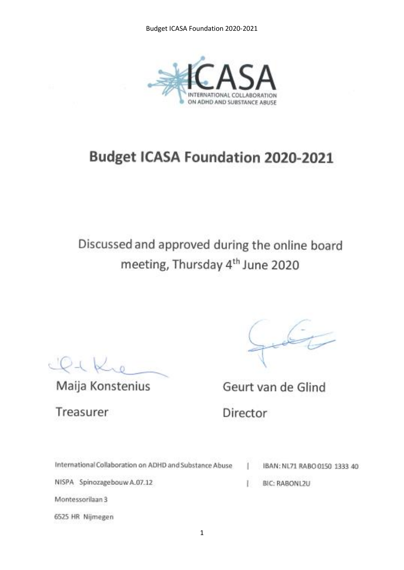

## **Budget ICASA Foundation 2020-2021**

# Discussed and approved during the online board meeting, Thursday 4<sup>th</sup> June 2020

 $LQ + K$ 

Maija Konstenius

Treasurer

6525 HR Nijmegen

40

Geurt van de Glind

Director

| International Collaboration on ADHD and Substance Abuse |  | IBAN: NL71 RABO 0150 1333 |
|---------------------------------------------------------|--|---------------------------|
| NISPA Spinozagebouw A.07.12                             |  | BIC: RABONL2U             |
| Montessorilaan 3                                        |  |                           |
|                                                         |  |                           |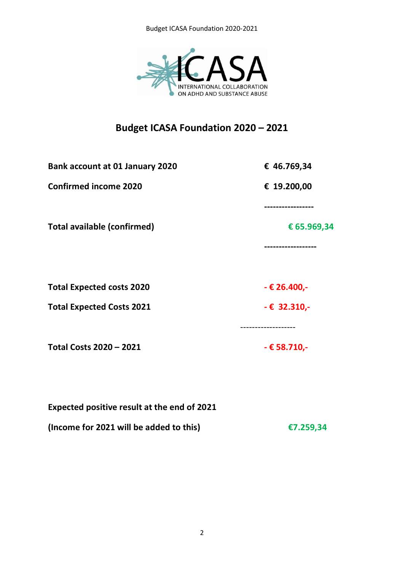

## **Budget ICASA Foundation 2020 – 2021**

| € 46.769,34                         |
|-------------------------------------|
| € 19.200,00                         |
|                                     |
| € 65.969,34                         |
| ----------------                    |
| $-$ € 26.400,-                      |
|                                     |
| $-6$ 32.310,-<br>------------------ |
| $-$ € 58.710,-                      |
|                                     |

| Expected positive result at the end of 2021 |           |
|---------------------------------------------|-----------|
| (Income for 2021 will be added to this)     | €7.259,34 |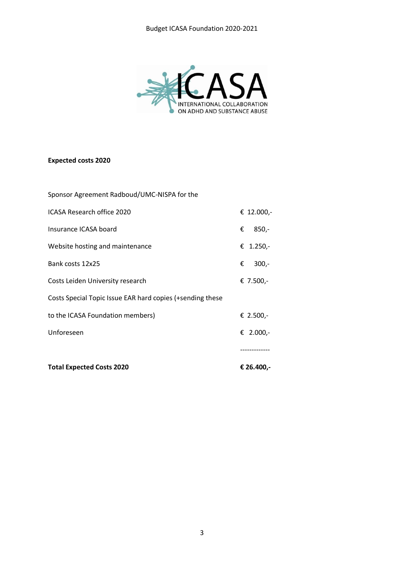

#### **Expected costs 2020**

| <b>Total Expected Costs 2020</b>                          | € 26.400,-   |
|-----------------------------------------------------------|--------------|
|                                                           |              |
| Unforeseen                                                | € 2.000,-    |
| to the ICASA Foundation members)                          | € 2.500,-    |
| Costs Special Topic Issue EAR hard copies (+sending these |              |
| Costs Leiden University research                          | € 7.500,-    |
| Bank costs 12x25                                          | $300 -$<br>€ |
| Website hosting and maintenance                           | € 1.250,-    |
| Insurance ICASA board                                     | $850,-$<br>€ |
| ICASA Research office 2020                                | € 12.000,-   |
| Sponsor Agreement Radboud/UMC-NISPA for the               |              |